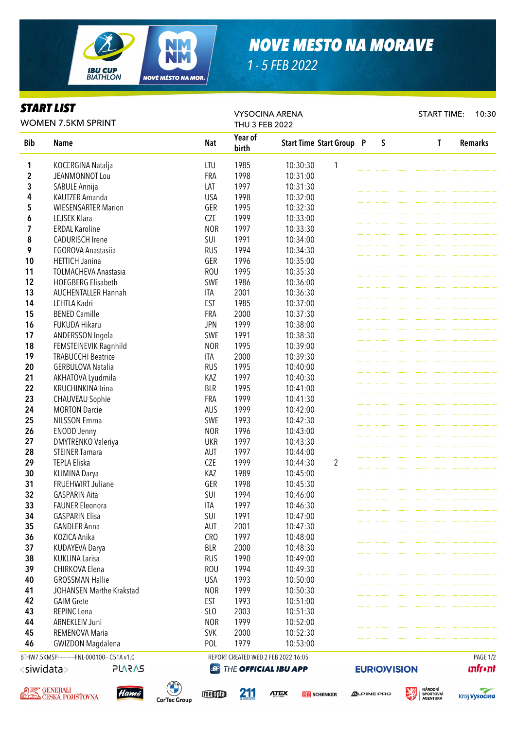

## *NOVE MESTO NA MORAVE*

*1 - 5 FEB 2022*

## *START LIST*

VYSOCINA ARENA START TIME: 10:30 WOMEN 7.5KM SPRINT THU 3 FEB 2022 Year of Bib Name Nat Start Time Start Group P S T Remarks birth 1 KOCERGINA Natalja 10:30:30 1 **2** JEANMONNOT Lou **FRA 1998** 10:31:00 **3** SABULE Annija **1997** 10:31:30 4 KAUTZER Amanda USA 1998 10:32:00 5 WIESENSARTER Marion GER 1995 10:32:30 **6** LEJSEK Klara **CZE** 1999 10:33:00 **7** ERDAL Karoline 1997 10:33:30 8 CADURISCH Irene SUI 1991 10:34:00 **9** EGOROVA Anastasiia RUS 1994 10:34:30 **10 HETTICH Janina** GER 1996 10:35:00 11 TOLMACHEVA Anastasia ROU 1995 10:35:30 12 HOEGBERG Elisabeth SWE 1986 10:36:00 13 AUCHENTALLER Hannah ITA 2001 10:36:30 **14** LEHTLA Kadri **EST 1985** 10:37:00 **15** BENED Camille **FRA** 2000 10:37:30 **16** FUKUDA Hikaru **16 FUKUDA Hikaru 10:38:00** 17 ANDERSSON Ingela SWE 1991 10:38:30 18 FEMSTEINEVIK Ragnhild NOR 1995 10:39:00 19 TRABUCCHI Beatrice ITA 2000 10:39:30 20 GERBULOVA Natalia RUS 1995 10:40:00 21 AKHATOVA Lyudmila KAZ 1997 10:40:30 22 KRUCHINKINA Irina BLR 1995 10:41:00 23 CHAUVEAU Sophie FRA 1999 10:41:30 **24 MORTON Darcie 24 MORTON Darcie 24 MORTON Darcie 24 AUS** 1999 10:42:00 **25** NILSSON Emma SWE 1993 10:42:30 **26** ENODD Jenny **NOR** 1996 10:43:00 27 DMYTRENKO Valeriya **National State Concrete Concrete Concrete Concrete Concrete Concrete Concrete Concrete Concrete Concrete Concrete Concrete Domain District On the District On the UKR and 10:43:30 28** STEINER Tamara **AUT** 1997 10:44:00 **29** TEPLA Eliska **CZE** 1999 10:44:30 2 **30 KLIMINA Darya KAZ 1989 10:45:00 31 FRUEHWIRT Juliane GER 1998 10:45:30 32** GASPARIN Aita **SUI 1994** 10:46:00 **33** FAUNER Fleonora **ITA** 1997 10:46:30 **34 GASPARIN Flisa** SUI 1991 10:47:00 **35** GANDLER Anna **AUT** 2001 10:47:30 36 KOZICA Anika CRO 1997 10:48:00 37 KUDAYEVA Darya **BLR** 2000 10:48:30 **38 KUKLINA Larisa RUS 1990 10:49:00 39** CHIRKOVA Flena **ROU 1994** 10:49:30 **40** GROSSMAN Hallie **1993** USA 1993 10:50:00 41 JOHANSEN Marthe Krakstad NOR 1999 10:50:30 **42** GAIM Grete **EST** 1993 10:51:00 **43** REPINC Lena **SLO** 2003 10:51:30 44 ARNEKLEIV Juni NOR 1999 10:52:00 **45 REMENOVA Maria 10:52:30** 46 GWIZDON Magdalena POL 1979 10:53:00 BTHW7.5KMSP-----------FNL-000100-- C51A v1.0 REPORT CREATED WED 2 FEB 2022 16:05 PAGE 1/2**EURIO)VISION**  $\langle$ siwidata $\rangle$ **PLARAS @ THE OFFICIAL IBU APP unfront** 





memia

211

**ATEX** 

**DR** SCHENKER

**ALPINE PRO**